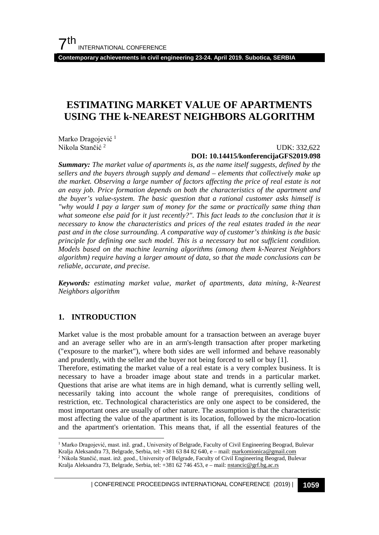**Contemporary achievements in civil engineering 23-24. April 2019. Subotica, SERBIA**

# **ESTIMATING MARKET VALUE OF APARTMENTS USING THE k-NEAREST NEIGHBORS ALGORITHM**

Marko Dragojević<sup>[1](#page-0-0)</sup> Nikola Stančić [2](#page-0-1)

#### UDK: 332,622 **DOI: 10.14415/konferencijaGFS2019.098**

*Summary: The market value of apartments is, as the name itself suggests, defined by the sellers and the buyers through supply and demand – elements that collectively make up the market. Observing a large number of factors affecting the price of real estate is not an easy job. Price formation depends on both the characteristics of the apartment and the buyer's value-system. The basic question that a rational customer asks himself is "why would I pay a larger sum of money for the same or practically same thing than what someone else paid for it just recently?". This fact leads to the conclusion that it is necessary to know the characteristics and prices of the real estates traded in the near past and in the close surrounding. A comparative way of customer's thinking is the basic principle for defining one such model. This is a necessary but not sufficient condition. Models based on the machine learning algorithms (among them k-Nearest Neighbors algorithm) require having a larger amount of data, so that the made conclusions can be reliable, accurate, and precise.*

*Keywords: estimating market value, market of apartments, data mining, k-Nearest Neighbors algorithm*

# **1. INTRODUCTION**

Market value is the most probable amount for a transaction between an average buyer and an average seller who are in an arm's-length transaction after proper marketing ("exposure to the market"), where both sides are well informed and behave reasonably and prudently, with the seller and the buyer not being forced to sell or buy [\[1\].](#page-9-0)

Therefore, estimating the market value of a real estate is a very complex business. It is necessary to have a broader image about state and trends in a particular market. Questions that arise are what items are in high demand, what is currently selling well, necessarily taking into account the whole range of prerequisites, conditions of restriction, etc. Technological characteristics are only one aspect to be considered, the most important ones are usually of other nature. The assumption is that the characteristic most affecting the value of the apartment is its location, followed by the micro-location and the apartment's orientation. This means that, if all the essential features of the

<span id="page-0-1"></span><span id="page-0-0"></span> <sup>1</sup> Marko Dragojević, mast. inž. građ., University of Belgrade, Faculty of Civil Engineering Beograd, Bulevar Kralja Aleksandra 73, Belgrade, Serbia, tel: +381 63 84 82 640, e – mail: [markomionica@gmail.com](mailto:markomionica@gmail.com) <sup>2</sup> Nikola Stančić, mast. inž. geod., University of Belgrade, Faculty of Civil Engineering Beograd, Bulevar Kralja Aleksandra 73, Belgrade, Serbia, tel: +381 62 746 453, e – mail[: nstancic@grf.bg.ac.rs](mailto:nstancic@grf.bg.ac.rs)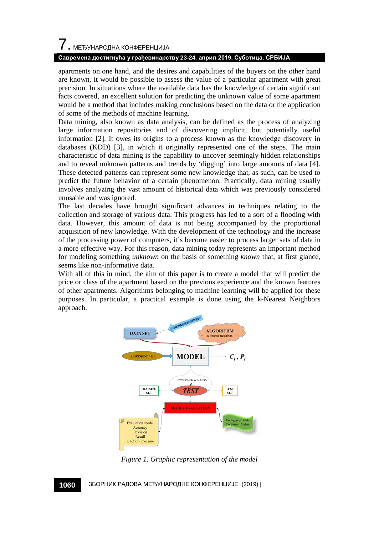# 7. МЕЂУНАРОДНА КОНФЕРЕНЦИЈА

#### **Савремена достигнућа у грађевинарству 23-24. април 2019. Суботица, СРБИЈА**

apartments on one hand, and the desires and capabilities of the buyers on the other hand are known, it would be possible to assess the value of a particular apartment with great precision. In situations where the available data has the knowledge of certain significant facts covered, an excellent solution for predicting the unknown value of some apartment would be a method that includes making conclusions based on the data or the application of some of the methods of machine learning.

Data mining, also known as data analysis, can be defined as the process of analyzing large information repositories and of discovering implicit, but potentially useful information [\[2\].](#page-9-1) It owes its origins to a process known as the knowledge discovery in databases (KDD) [\[3\],](#page-10-0) in which it originally represented one of the steps. The main characteristic of data mining is the capability to uncover seemingly hidden relationships and to reveal unknown patterns and trends by 'digging' into large amounts of data [\[4\].](#page-10-1) These detected patterns can represent some new knowledge that, as such, can be used to predict the future behavior of a certain phenomenon. Practically, data mining usually involves analyzing the vast amount of historical data which was previously considered unusable and was ignored.

The last decades have brought significant advances in techniques relating to the collection and storage of various data. This progress has led to a sort of a flooding with data. However, this amount of data is not being accompanied by the proportional acquisition of new knowledge. With the development of the technology and the increase of the processing power of computers, it's become easier to process larger sets of data in a more effective way. For this reason, data mining today represents an important method for modeling something *unknown* on the basis of something *known* that, at first glance, seems like non-informative data.

With all of this in mind, the aim of this paper is to create a model that will predict the price or class of the apartment based on the previous experience and the known features of other apartments. Algorithms belonging to machine learning will be applied for these purposes. In particular, a practical example is done using the k-Nearest Neighbors approach.



*Figure 1. Graphic representation of the model*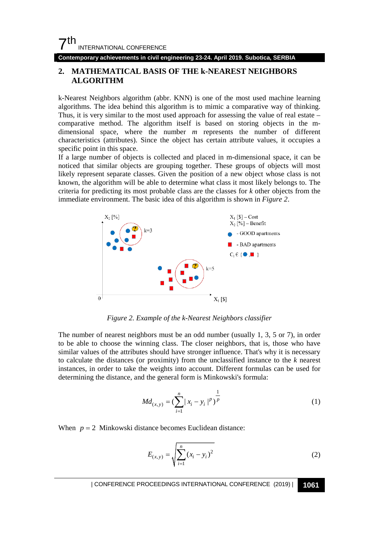**Contemporary achievements in civil engineering 23-24. April 2019. Subotica, SERBIA**

# **2. MATHEMATICAL BASIS OF THE k-NEAREST NEIGHBORS ALGORITHM**

k-Nearest Neighbors algorithm (abbr. KNN) is one of the most used machine learning algorithms. The idea behind this algorithm is to mimic a comparative way of thinking. Thus, it is very similar to the most used approach for assessing the value of real estate – comparative method. The algorithm itself is based on storing objects in the mdimensional space, where the number *m* represents the number of different characteristics (attributes). Since the object has certain attribute values, it occupies a specific point in this space.

If a large number of objects is collected and placed in m-dimensional space, it can be noticed that similar objects are grouping together. These groups of objects will most likely represent separate classes. Given the position of a new object whose class is not known, the algorithm will be able to determine what class it most likely belongs to. The criteria for predicting its most probable class are the classes for *k* other objects from the immediate environment. The basic idea of this algorithm is shown in *Figure 2*.



*Figure 2. Example of the k-Nearest Neighbors classifier*

The number of nearest neighbors must be an odd number (usually 1, 3, 5 or 7), in order to be able to choose the winning class. The closer neighbors, that is, those who have similar values of the attributes should have stronger influence. That's why it is necessary to calculate the distances (or proximity) from the unclassified instance to the *k* nearest instances, in order to take the weights into account. Different formulas can be used for determining the distance, and the general form is Minkowski's formula:

$$
Md_{(x,y)} = \left(\sum_{i=1}^{n} |x_i - y_i|^p\right)^{\frac{1}{p}}
$$
 (1)

When  $p = 2$  Minkowski distance becomes Euclidean distance:

$$
E_{(x,y)} = \sqrt{\sum_{i=1}^{n} (x_i - y_i)^2}
$$
 (2)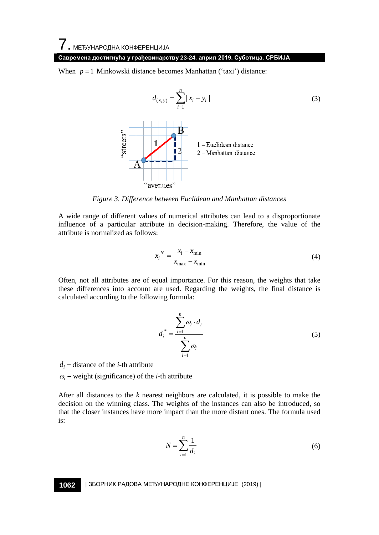When  $p = 1$  Minkowski distance becomes Manhattan ('taxi') distance:

$$
d_{(x,y)} = \sum_{i=1}^{n} |x_i - y_i|
$$
\n(3)\n  
\n
$$
\sum_{i=1}^{n} |x_i - y_i|
$$
\n
$$
\sum_{i=1}^{n} |x_i - y_i|
$$
\n
$$
\sum_{i=1}^{n} |x_i - y_i|
$$
\n
$$
\sum_{i=1}^{n} |x_i - y_i|
$$
\n
$$
\sum_{i=1}^{n} |x_i - y_i|
$$
\n(3)\n
$$
\sum_{i=1}^{n} |x_i - y_i|
$$
\n
$$
\sum_{i=1}^{n} |x_i - y_i|
$$
\n(3)

*Figure 3. Difference between Euclidean and Manhattan distances*

A wide range of different values of numerical attributes can lead to a disproportionate influence of a particular attribute in decision-making. Therefore, the value of the attribute is normalized as follows:

$$
x_i^N = \frac{x_i - x_{\text{min}}}{x_{\text{max}} - x_{\text{min}}} \tag{4}
$$

Often, not all attributes are of equal importance. For this reason, the weights that take these differences into account are used. Regarding the weights, the final distance is calculated according to the following formula:

$$
d_i^* = \frac{\sum_{i=1}^n \omega_i \cdot d_i}{\sum_{i=1}^n \omega_i} \tag{5}
$$

 $d_i$  – distance of the *i*-th attribute

<sup>ω</sup>*<sup>i</sup>* − weight (significance) of the *i*-th attribute

After all distances to the *k* nearest neighbors are calculated, it is possible to make the decision on the winning class. The weights of the instances can also be introduced, so that the closer instances have more impact than the more distant ones. The formula used is:

$$
N = \sum_{i=1}^{n} \frac{1}{d_i} \tag{6}
$$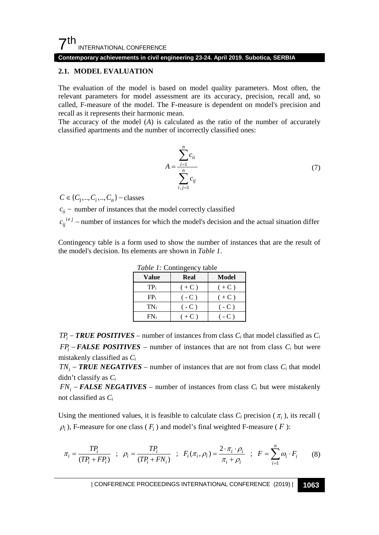# $7<sup>th</sup>$ INTERNATIONAL CONFERENCE

#### **Contemporary achievements in civil engineering 23-24. April 2019. Subotica, SERBIA**

#### **2.1. MODEL EVALUATION**

The evaluation of the model is based on model quality parameters. Most often, the relevant parameters for model assessment are its accuracy, precision, recall and, so called, F-measure of the model. The F-measure is dependent on model's precision and recall as it represents their harmonic mean.

The accuracy of the model (*A*) is calculated as the ratio of the number of accurately classified apartments and the number of incorrectly classified ones:

$$
A = \frac{\sum_{i=1}^{n} c_{ii}}{\sum_{i,j=1}^{n} c_{ij}}
$$
 (7)

 $C \in \{C_1, ..., C_i, ..., C_n\}$  – classes

 $c_{ii}$  − number of instances that the model correctly classified  $c_{ij}^{i \neq j}$  – number of instances for which the model's decision and the actual situation differ

Contingency table is a form used to show the number of instances that are the result of the model's decision. Its elements are shown in *Table 1*.

| <b>Value</b> | Real   | Model  |  |  |  |  |  |  |
|--------------|--------|--------|--|--|--|--|--|--|
| TPi          | $(+C)$ | $(+C)$ |  |  |  |  |  |  |
| $FP_i$       | $(-C)$ | $(+C)$ |  |  |  |  |  |  |
| $TN_i$       | $(-C)$ | $(-C)$ |  |  |  |  |  |  |
| FN:          | $(+C)$ | $-C$ ) |  |  |  |  |  |  |

*Table 1:* Contingency table

 $TP_i - TRUE$  *POSITIVES* – number of instances from class  $C_i$  that model classified as  $C_i$  $FP_i - FALSE \; POSITIVES - number of instances that are not from class  $C_i$  but were$ mistakenly classified as *Ci*

 $TN_i - TRUE \textit{NEGATIVES}$  – number of instances that are not from class  $C_i$  that model didn't classify as *Ci*

 $FN_i$  – **FALSE NEGATIVES** – number of instances from class  $C_i$  but were mistakenly not classified as *Ci*

Using the mentioned values, it is feasible to calculate class  $C_i$  precision ( $\pi_i$ ), its recall (  $\rho$ <sub>*i*</sub>), F-measure for one class ( $F$ <sub>*i*</sub>) and model's final weighted F-measure ( $F$ ):

$$
\pi_i = \frac{TP_i}{(TP_i + FP_i)} \quad ; \quad \rho_i = \frac{TP_i}{(TP_i + FN_i)} \quad ; \quad F_i(\pi_i, \rho_i) = \frac{2 \cdot \pi_i \cdot \rho_i}{\pi_i + \rho_i} \quad ; \quad F = \sum_{i=1}^n \omega_i \cdot F_i \tag{8}
$$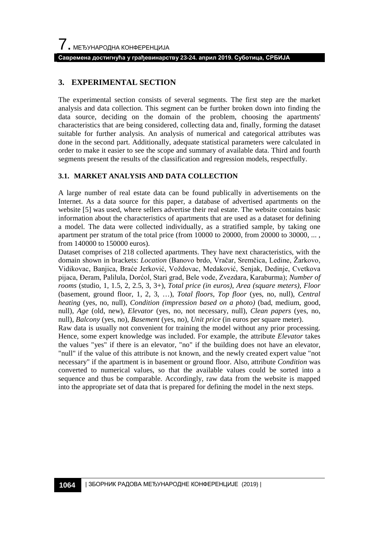# **3. EXPERIMENTAL SECTION**

The experimental section consists of several segments. The first step are the market analysis and data collection. This segment can be further broken down into finding the data source, deciding on the domain of the problem, choosing the apartments' characteristics that are being considered, collecting data and, finally, forming the dataset suitable for further analysis. An analysis of numerical and categorical attributes was done in the second part. Additionally, adequate statistical parameters were calculated in order to make it easier to see the scope and summary of available data. Third and fourth segments present the results of the classification and regression models, respectfully.

# **3.1. MARKET ANALYSIS AND DATA COLLECTION**

A large number of real estate data can be found publically in advertisements on the Internet. As a data source for this paper, a database of advertised apartments on the website [\[5\]](#page-10-2) was used, where sellers advertise their real estate. The website contains basic information about the characteristics of apartments that are used as a dataset for defining a model. The data were collected individually, as a stratified sample, by taking one apartment per stratum of the total price (from 10000 to 20000, from 20000 to 30000, ..., from 140000 to 150000 euros).

Dataset comprises of 218 collected apartments. They have next characteristics, with the domain shown in brackets: *Location* (Banovo brdo, Vračar, Sremčica, Ledine, Žarkovo, Vidikovac, Banjica, Braće Jerković, Voždovac, Medaković, Senjak, Dedinje, Cvetkova pijaca, Đeram, Palilula, Dorćol, Stari grad, Bele vode, Zvezdara, Karaburma); *Number of rooms* (studio, 1, 1.5, 2, 2.5, 3, 3+), *Total price (in euros)*, *Area (square meters)*, *Floor* (basement, ground floor, 1, 2, 3, …), *Total floors*, *Top floor* (yes, no, null), *Central heating* (yes, no, null), *Condition (impression based on a photo)* (bad, medium, good, null), *Age* (old, new), *Elevator* (yes, no, not necessary, null), *Clean papers* (yes, no, null), *Balcony* (yes, no), *Basement* (yes, no), *Unit price* (in euros per square meter).

Raw data is usually not convenient for training the model without any prior processing. Hence, some expert knowledge was included. For example, the attribute *Elevator* takes the values "yes" if there is an elevator, "no" if the building does not have an elevator, "null" if the value of this attribute is not known, and the newly created expert value "not necessary" if the apartment is in basement or ground floor. Also, attribute *Condition* was converted to numerical values, so that the available values could be sorted into a sequence and thus be comparable. Accordingly, raw data from the website is mapped into the appropriate set of data that is prepared for defining the model in the next steps.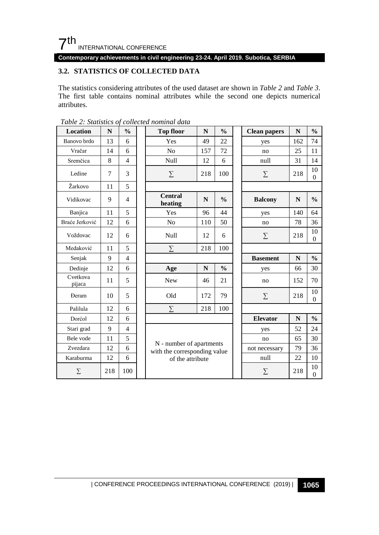# $7<sup>th</sup>$ INTERNATIONAL CONFERENCE

**Contemporary achievements in civil engineering 23-24. April 2019. Subotica, SERBIA**

# **3.2. STATISTICS OF COLLECTED DATA**

The statistics considering attributes of the used dataset are shown in *Table 2* and *Table 3*. The first table contains nominal attributes while the second one depicts numerical attributes.

| <b>Location</b>    | $\mathbf N$    | $\frac{0}{0}$  | $\frac{0}{0}$<br><b>Top floor</b><br>$\mathbf N$         |             | <b>Clean papers</b> | $\mathbf N$            | $\frac{0}{0}$        |                        |
|--------------------|----------------|----------------|----------------------------------------------------------|-------------|---------------------|------------------------|----------------------|------------------------|
| Banovo brdo        | 13             | 6              | Yes                                                      | 49          | 22                  | yes                    | 162                  | 74                     |
| Vračar             | 14             | 6              | N <sub>o</sub>                                           | 157         | 72                  | no                     | 25                   | 11                     |
| Sremčica           | 8              | 4              | Null                                                     | 12          | 6                   | null                   | 31                   | 14                     |
| Ledine             | $\overline{7}$ | 3              | $\sum$                                                   | 218         | 100                 | $\Sigma$               | 218                  | 10<br>$\mathbf{0}$     |
| Žarkovo            | 11             | 5              |                                                          |             |                     |                        |                      |                        |
| Vidikovac          | 9              | $\overline{4}$ | <b>Central</b><br>heating                                | ${\bf N}$   | $\frac{0}{0}$       | <b>Balcony</b>         | ${\bf N}$            | $\frac{0}{0}$          |
| Banjica            | 11             | 5              | Yes                                                      | 96          | 44                  | yes                    | 140                  | 64                     |
| Braće Jerković     | 12             | 6              | N <sub>o</sub>                                           | 110         | 50                  | no                     | 78                   | 36                     |
| Voždovac           | 12             | 6              | Null                                                     | 12          | 6                   | $\Sigma$               | 218                  | 10<br>$\boldsymbol{0}$ |
| Medaković          | 11             | 5              | Σ                                                        | 218         | 100                 |                        |                      |                        |
| Senjak             | 9              | $\overline{4}$ |                                                          |             |                     | <b>Basement</b>        | N                    | $\frac{0}{0}$          |
| Dedinje            | 12             | 6              | Age                                                      | $\mathbf N$ | $\frac{0}{0}$       | yes                    | 66                   | 30                     |
| Cvetkova<br>pijaca | 11             | 5              | <b>New</b>                                               | 46          | 21                  | no                     | 152                  | 70                     |
| <b>Deram</b>       | 10             | 5              | Old<br>79<br>172                                         |             | $\Sigma$            | 218                    | 10<br>$\overline{0}$ |                        |
| Palilula           | 12             | 6              | Σ                                                        | 218         | 100                 |                        |                      |                        |
| Dorćol             | 12             | 6              |                                                          |             |                     | <b>Elevator</b>        | $\mathbf N$          | $\frac{0}{0}$          |
| Stari grad         | 9              | $\overline{4}$ |                                                          |             |                     | yes                    | 52                   | 24                     |
| Bele vode          | 11             | 5              |                                                          |             |                     | no                     | 65                   | 30                     |
| Zvezdara           | 12             | 6              | N - number of apartments<br>with the corresponding value |             |                     | not necessary          | 79                   | 36                     |
| Karaburma          | 12             | 6              | of the attribute                                         |             |                     | null                   | 22                   | 10                     |
| $\Sigma$           | 218            | 100            |                                                          | Σ           | 218                 | 10<br>$\boldsymbol{0}$ |                      |                        |

*Table 2: Statistics of collected nominal data*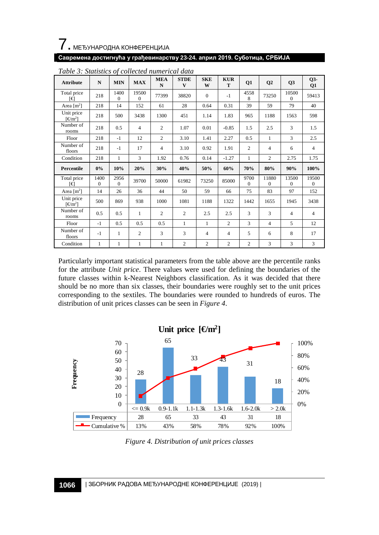

| <b>Attribute</b>                           | $\mathbf N$      | <b>MIN</b>       | <b>MAX</b>        | <b>MEA</b><br>N | <b>STDE</b><br>V | <b>SKE</b><br>W | <b>KUR</b><br>T | Q1               | Q2                | Q <sub>3</sub>    | $Q3-$<br>Q1       |
|--------------------------------------------|------------------|------------------|-------------------|-----------------|------------------|-----------------|-----------------|------------------|-------------------|-------------------|-------------------|
| Total price<br>ſ€                          | 218              | 1400<br>$\Omega$ | 19500<br>$\Omega$ | 77399           | 38820            | $\mathbf{0}$    | $-1$            | 4558<br>8        | 73250             | 10500<br>$\Omega$ | 59413             |
| Area $[m^2]$                               | 218              | 14               | 152               | 61              | 28               | 0.64            | 0.31            | 39               | 59                | 79                | 40                |
| Unit price<br>$\lceil \Theta m^2 \rceil$   | 218              | 500              | 3438              | 1300            | 451              | 1.14            | 1.83            | 965              | 1188              | 1563              | 598               |
| Number of<br>rooms                         | 218              | 0.5              | $\overline{4}$    | $\overline{c}$  | 1.07             | 0.01            | $-0.85$         | 1.5              | 2.5               | 3                 | 1.5               |
| Floor                                      | 218              | $-1$             | 12                | $\overline{c}$  | 3.10             | 1.41            | 2.27            | 0.5              | 1                 | 3                 | 2.5               |
| Number of<br>floors                        | 218              | $-1$             | 17                | $\overline{4}$  | 3.10             | 0.92            | 1.91            | $\overline{c}$   | $\overline{4}$    | 6                 | $\overline{4}$    |
| Condition                                  | 218              | $\mathbf{1}$     | 3                 | 1.92            | 0.76             | 0.14            | $-1.27$         | $\mathbf{1}$     | $\overline{c}$    | 2.75              | 1.75              |
| <b>Percentile</b>                          | $0\%$            | 10%              | 20%               | 30%             | 40%              | 50%             | 60%             | 70%              | 80%               | 90%               | 100%              |
| Total price                                |                  |                  |                   |                 |                  |                 |                 |                  |                   |                   |                   |
| ſ€                                         | 1400<br>$\Omega$ | 2956<br>$\Omega$ | 39700             | 50000           | 61982            | 73250           | 85000           | 9700<br>$\Omega$ | 11880<br>$\Omega$ | 13500<br>$\Omega$ | 19500<br>$\Omega$ |
| Area $\lceil m^2 \rceil$                   | 14               | 26               | 36                | 44              | 50               | 59              | 66              | 75               | 83                | 97                | 152               |
| Unit price<br>$\lceil \epsilon m^2 \rceil$ | 500              | 869              | 938               | 1000            | 1081             | 1188            | 1322            | 1442             | 1655              | 1945              | 3438              |
| Number of<br>rooms                         | 0.5              | 0.5              | $\mathbf{1}$      | $\overline{c}$  | $\overline{c}$   | 2.5             | 2.5             | 3                | 3                 | $\overline{4}$    | $\overline{4}$    |
| Floor                                      | $-1$             | 0.5              | 0.5               | 0.5             | $\mathbf{1}$     | $\mathbf{1}$    | $\overline{c}$  | 3                | $\overline{4}$    | 5                 | 12                |
| Number of<br>floors                        | $-1$             | 1                | $\overline{c}$    | 3               | 3                | $\overline{4}$  | $\overline{4}$  | 5                | 6                 | 8                 | 17                |

*Table 3: Statistics of collected numerical data*

Particularly important statistical parameters from the table above are the percentile ranks for the attribute *Unit price*. There values were used for defining the boundaries of the future classes within k-Nearest Neighbors classification. As it was decided that there should be no more than six classes, their boundaries were roughly set to the unit prices corresponding to the sextiles. The boundaries were rounded to hundreds of euros. The distribution of unit prices classes can be seen in *Figure 4*.



*Figure 4. Distribution of unit prices classes*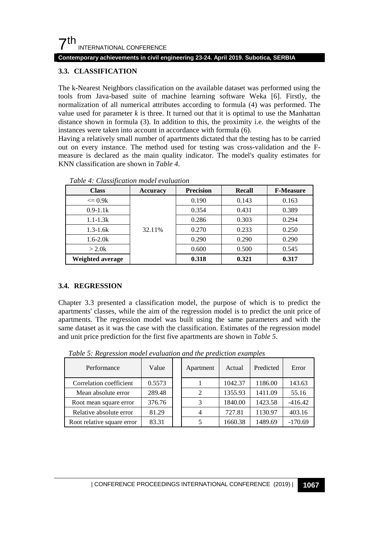#### **Contemporary achievements in civil engineering 23-24. April 2019. Subotica, SERBIA**

### <span id="page-8-0"></span>**3.3. CLASSIFICATION**

The k-Nearest Neighbors classification on the available dataset was performed using the tools from Java-based suite of machine learning software Weka [\[6\].](#page-10-3) Firstly, the normalization of all numerical attributes according to formula (4) was performed. The value used for parameter  $k$  is three. It turned out that it is optimal to use the Manhattan distance shown in formula (3). In addition to this, the proximity i.e. the weights of the instances were taken into account in accordance with formula (6).

Having a relatively small number of apartments dictated that the testing has to be carried out on every instance. The method used for testing was cross-validation and the Fmeasure is declared as the main quality indicator. The model's quality estimates for KNN classification are shown in *Table 4*.

| <b>Class</b>      | Accuracy | <b>Precision</b> | <b>Recall</b> | <b>F-Measure</b> |
|-------------------|----------|------------------|---------------|------------------|
| $\epsilon = 0.9k$ |          | 0.190            | 0.143         | 0.163            |
| $0.9 - 1.1k$      | 32.11%   | 0.354            | 0.431         | 0.389            |
| $1.1 - 1.3k$      |          | 0.286            | 0.303         | 0.294            |
| $1.3 - 1.6k$      |          | 0.270            | 0.233         | 0.250            |
| $1.6 - 2.0k$      |          | 0.290            | 0.290         | 0.290            |
| $>$ 2.0 $k$       |          | 0.600            | 0.500         | 0.545            |
| Weighted average  |          | 0.318            | 0.321         | 0.317            |

*Table 4: Classification model evaluation*

#### **3.4. REGRESSION**

Chapter [3.3](#page-8-0) presented a classification model, the purpose of which is to predict the apartments' classes, while the aim of the regression model is to predict the unit price of apartments. The regression model was built using the same parameters and with the same dataset as it was the case with the classification. Estimates of the regression model and unit price prediction for the first five apartments are shown in *Table 5*.

| Performance                | Value  | Apartment      | Actual  | Predicted | Error     |
|----------------------------|--------|----------------|---------|-----------|-----------|
| Correlation coefficient    | 0.5573 |                | 1042.37 | 1186.00   | 143.63    |
| Mean absolute error        | 289.48 | $\overline{c}$ | 1355.93 | 1411.09   | 55.16     |
| Root mean square error     | 376.76 | 3              | 1840.00 | 1423.58   | $-416.42$ |
| Relative absolute error    | 81.29  | $\overline{4}$ | 727.81  | 1130.97   | 403.16    |
| Root relative square error | 83.31  |                | 1660.38 | 1489.69   | $-170.69$ |

*Table 5: Regression model evaluation and the prediction examples*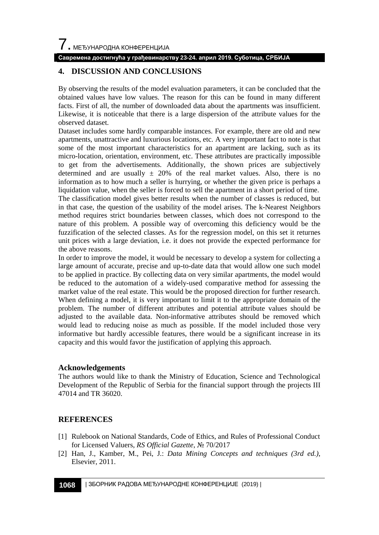# **4. DISCUSSION AND CONCLUSIONS**

By observing the results of the model evaluation parameters, it can be concluded that the obtained values have low values. The reason for this can be found in many different facts. First of all, the number of downloaded data about the apartments was insufficient. Likewise, it is noticeable that there is a large dispersion of the attribute values for the observed dataset.

Dataset includes some hardly comparable instances. For example, there are old and new apartments, unattractive and luxurious locations, etc. A very important fact to note is that some of the most important characteristics for an apartment are lacking, such as its micro-location, orientation, environment, etc. These attributes are practically impossible to get from the advertisements. Additionally, the shown prices are subjectively determined and are usually  $\pm$  20% of the real market values. Also, there is no information as to how much a seller is hurrying, or whether the given price is perhaps a liquidation value, when the seller is forced to sell the apartment in a short period of time. The classification model gives better results when the number of classes is reduced, but in that case, the question of the usability of the model arises. The k-Nearest Neighbors method requires strict boundaries between classes, which does not correspond to the nature of this problem. A possible way of overcoming this deficiency would be the fuzzification of the selected classes. As for the regression model, on this set it returnes unit prices with a large deviation, i.e. it does not provide the expected performance for the above reasons.

In order to improve the model, it would be necessary to develop a system for collecting a large amount of accurate, precise and up-to-date data that would allow one such model to be applied in practice. By collecting data on very similar apartments, the model would be reduced to the automation of a widely-used comparative method for assessing the market value of the real estate. This would be the proposed direction for further research. When defining a model, it is very important to limit it to the appropriate domain of the problem. The number of different attributes and potential attribute values should be adjusted to the available data. Non-informative attributes should be removed which would lead to reducing noise as much as possible. If the model included those very informative but hardly accessible features, there would be a significant increase in its capacity and this would favor the justification of applying this approach.

#### **Acknowledgements**

The authors would like to thank the Ministry of Education, Science and Technological Development of the Republic of Serbia for the financial support through the projects III 47014 and TR 36020.

# **REFERENCES**

- <span id="page-9-0"></span>[1] Rulebook on National Standards, Code of Ethics, and Rules of Professional Conduct for Licensed Valuers, *RS Official Gazette*, № 70/2017
- <span id="page-9-1"></span>[2] Han, J., Kamber, M., Pei, J.: *Data Mining Concepts and techniques (3rd ed.)*, Elsevier, 2011.